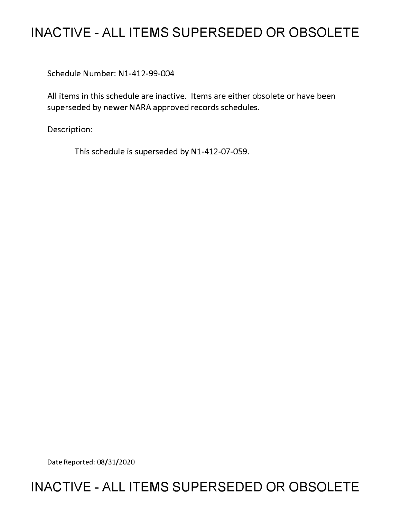# **INACTIVE - ALL ITEMS SUPERSEDED OR OBSOLETE**

Schedule Number: Nl-412-99-004

All items in this schedule are inactive. Items are either obsolete or have been superseded by newer NARA approved records schedules.

Description:

This schedule is superseded by N1-412-07-059.

Date Reported: 08/31/2020

## **INACTIVE - ALL ITEMS SUPERSEDED OR OBSOLETE**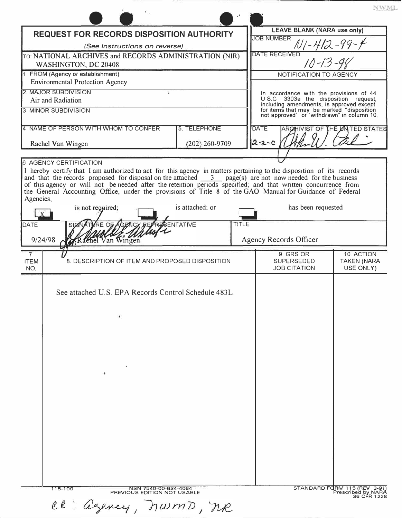|                                                                                                                                                                                                                           |                                                     |       | <b>LEAVE BLANK (NARA use only)</b>                                                      |                                                    |
|---------------------------------------------------------------------------------------------------------------------------------------------------------------------------------------------------------------------------|-----------------------------------------------------|-------|-----------------------------------------------------------------------------------------|----------------------------------------------------|
| <b>REQUEST FOR RECORDS DISPOSITION AUTHORITY</b>                                                                                                                                                                          |                                                     |       | <b>JOB NUMBER</b>                                                                       |                                                    |
| (See Instructions on reverse)                                                                                                                                                                                             |                                                     |       | <b>DATE RECEIVED</b>                                                                    | N   - 412 - 99 - 4<br><sup>ED</sup> 10 - 13 - 98   |
| TO: NATIONAL ARCHIVES and RECORDS ADMINISTRATION (NIR)                                                                                                                                                                    |                                                     |       |                                                                                         |                                                    |
| WASHINGTON, DC 20408<br>FROM (Agency or establishment)                                                                                                                                                                    |                                                     |       | NOTIFICATION TO AGENCY                                                                  |                                                    |
| <b>Environmental Protection Agency</b>                                                                                                                                                                                    |                                                     |       |                                                                                         |                                                    |
| 2. MAJOR SUBDIVISION                                                                                                                                                                                                      |                                                     |       | In accordance with the provisions of 44                                                 |                                                    |
| Air and Radiation                                                                                                                                                                                                         |                                                     |       | U.S.C 3303a the disposition request,<br>including amendments, is approved except        |                                                    |
| <b>3 MINOR SUBDIVISION</b>                                                                                                                                                                                                |                                                     |       | for items that may be marked "disposition<br>not approved" or "withdrawn" in column 10. |                                                    |
| 4 NAME OF PERSON WITH WHOM TO CONFER                                                                                                                                                                                      | 5. TELEPHONE                                        |       | <b>DATE</b>                                                                             | ARCHIVIST OF THE LANTED STATES                     |
|                                                                                                                                                                                                                           |                                                     |       | $2 - 2 - 0$                                                                             |                                                    |
| Rachel Van Wingen                                                                                                                                                                                                         | $(202)$ 260-9709                                    |       |                                                                                         |                                                    |
| <b>6 AGENCY CERTIFICATION</b>                                                                                                                                                                                             |                                                     |       |                                                                                         |                                                    |
| I hereby certify that I am authorized to act for this agency in matters pertaining to the disposition of its records                                                                                                      |                                                     |       |                                                                                         |                                                    |
| and that the records proposed for disposal on the attached $\frac{3}{2}$ page(s) are not now needed for the business                                                                                                      |                                                     |       |                                                                                         |                                                    |
| of this agency or will not be needed after the retention periods specified, and that written concurrence from<br>the General Accounting Office, under the provisions of Title 8 of the GAO Manual for Guidance of Federal |                                                     |       |                                                                                         |                                                    |
| Agencies,                                                                                                                                                                                                                 |                                                     |       |                                                                                         |                                                    |
| is not required;                                                                                                                                                                                                          | is attached; or                                     |       | has been requested                                                                      |                                                    |
| DATE<br>'E OE                                                                                                                                                                                                             | ENTATIVE                                            | TITLE |                                                                                         |                                                    |
|                                                                                                                                                                                                                           |                                                     |       |                                                                                         |                                                    |
| Rachel Van Wingen<br>9/24/98                                                                                                                                                                                              |                                                     |       | Agency Records Officer                                                                  |                                                    |
| $\overline{7}$                                                                                                                                                                                                            |                                                     |       | 9 GRS OR                                                                                | 10. ACTION                                         |
| <b>ITEM</b><br>NO.                                                                                                                                                                                                        | 8. DESCRIPTION OF ITEM AND PROPOSED DISPOSITION     |       | <b>SUPERSEDED</b><br><b>JOB CITATION</b>                                                | <b>TAKEN (NARA</b><br>USE ONLY)                    |
|                                                                                                                                                                                                                           |                                                     |       |                                                                                         |                                                    |
|                                                                                                                                                                                                                           |                                                     |       |                                                                                         |                                                    |
| See attached U.S. EPA Records Control Schedule 483L.                                                                                                                                                                      |                                                     |       |                                                                                         |                                                    |
|                                                                                                                                                                                                                           |                                                     |       |                                                                                         |                                                    |
| $\bullet$                                                                                                                                                                                                                 |                                                     |       |                                                                                         |                                                    |
|                                                                                                                                                                                                                           |                                                     |       |                                                                                         |                                                    |
|                                                                                                                                                                                                                           |                                                     |       |                                                                                         |                                                    |
|                                                                                                                                                                                                                           |                                                     |       |                                                                                         |                                                    |
|                                                                                                                                                                                                                           |                                                     |       |                                                                                         |                                                    |
|                                                                                                                                                                                                                           |                                                     |       |                                                                                         |                                                    |
| 图                                                                                                                                                                                                                         |                                                     |       |                                                                                         |                                                    |
|                                                                                                                                                                                                                           |                                                     |       |                                                                                         |                                                    |
|                                                                                                                                                                                                                           |                                                     |       |                                                                                         |                                                    |
|                                                                                                                                                                                                                           |                                                     |       |                                                                                         |                                                    |
|                                                                                                                                                                                                                           |                                                     |       |                                                                                         |                                                    |
|                                                                                                                                                                                                                           |                                                     |       |                                                                                         |                                                    |
|                                                                                                                                                                                                                           |                                                     |       |                                                                                         |                                                    |
|                                                                                                                                                                                                                           |                                                     |       |                                                                                         |                                                    |
|                                                                                                                                                                                                                           |                                                     |       |                                                                                         |                                                    |
|                                                                                                                                                                                                                           |                                                     |       |                                                                                         |                                                    |
|                                                                                                                                                                                                                           |                                                     |       |                                                                                         |                                                    |
|                                                                                                                                                                                                                           |                                                     |       |                                                                                         |                                                    |
| 115-109                                                                                                                                                                                                                   | NSN 7540-00-634-4064<br>PREVIOUS EDITION NOT USABLE |       |                                                                                         | STANDARD FORM 115 (REV 3-91)<br>Prescribed by NARA |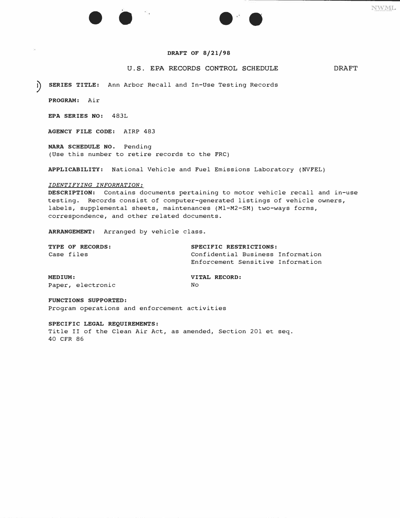#### **DRAFT OF 8/21/98**

• • • •

#### **U.S. EPA RECORDS CONTROL SCHEDULE DRAFT**

NWML

? **SERIES TITLE:** Ann Arbor Recall and In-Use Testing Records

**PROGRAM:** Air

**EPA SERIES NO:** 483L

**AGENCY FILE CODE:** AIRP 483

**NARA SCHEDULE NO.** Pending (Use this number to retire records to the FRC)

**APPLICABILITY:** National Vehicle and Fuel Emissions Laboratory (NVFEL)

#### *IDENTIFYING INFORMATION:*

**DESCRIPTION:** Contains documents pertaining to motor vehicle recall and in-use testing. Records consist of computer-generated listings of vehicle owners, labels, supplemental sheets, maintenances (Ml-M2-SM) two-ways forms, correspondence, and other related documents.

**ARRANGEMENT:** Arranged by vehicle class.

| TYPE OF RECORDS:             | SPECIFIC RESTRICTIONS:                                                 |
|------------------------------|------------------------------------------------------------------------|
| Case files                   | Confidential Business Information<br>Enforcement Sensitive Information |
| MEDIUM:<br>Paper, electronic | VITAL RECORD:<br>No                                                    |

**FUNCTIONS SUPPORTED:**  Program operations and enforcement activities

#### **SPECIFIC LEGAL REQUIREMENTS:**

Title II of the Clean Air Act, as amended, Section 201 et seq. 40 CFR 86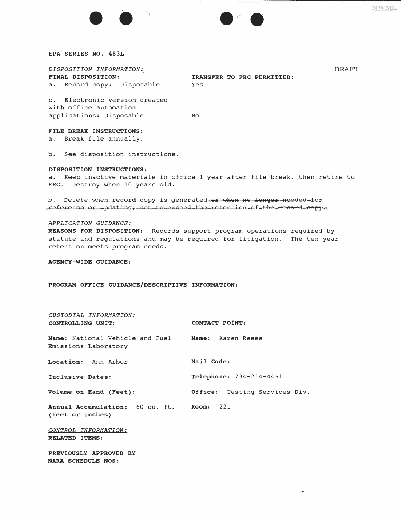#### **EPA SERIES NO. 483L**

### *DISPOSITION INFORMATION:* **DRAFT**

a. Record copy: Disposable

**TRANSFER TO FRC PERMITTED:**<br>Yes

b. Electronic version created with office automation applications: Disposable No

• • • •

### **FILE BREAK INSTRUCTIONS:**

a. Break file annually.

b. See disposition instructions.

#### **DISPOSITION INSTRUCTIONS:**

a. Keep inactive materials in office 1 year after file break, then retire to FRC. Destroy when 10 years old.

b. Delete when record copy is generated or when no longer needed for reference or updating, not to excood the retention of the record copy.

#### *APPLICATION GUIDANCE:*

**REASONS FOR DISPOSITION:** Records support program operations required by statute and regulations and may be required for litigation. The ten year retention meets program needs.

**AGENCY-WIDE GUIDANCE:** 

**PROGRAM OFFICE GUIDANCE/DESCRIPTIVE INFORMATION:** 

| CUSTODIAL INFORMATION:<br>CONTROLLING UNIT:                               | CONTACT POINT:                   |
|---------------------------------------------------------------------------|----------------------------------|
| Name: National Vehicle and Fuel Name: Karen Reese<br>Emissions Laboratory |                                  |
| Location: Ann Arbor                                                       | Mail Code:                       |
| Inclusive Dates:                                                          | <b>Telephone:</b> $734-214-4451$ |
| Volume on Hand (Feet):                                                    | Office: Testing Services Div.    |
| Annual Accumulation: 60 cu. ft. Room: 221<br>(feet or inches)             |                                  |
| CONTROL INFORMATION:<br><b>RELATED ITEMS:</b>                             |                                  |
| PREVIOUSLY APPROVED BY<br><b>NARA SCHEDULE NOS:</b>                       |                                  |